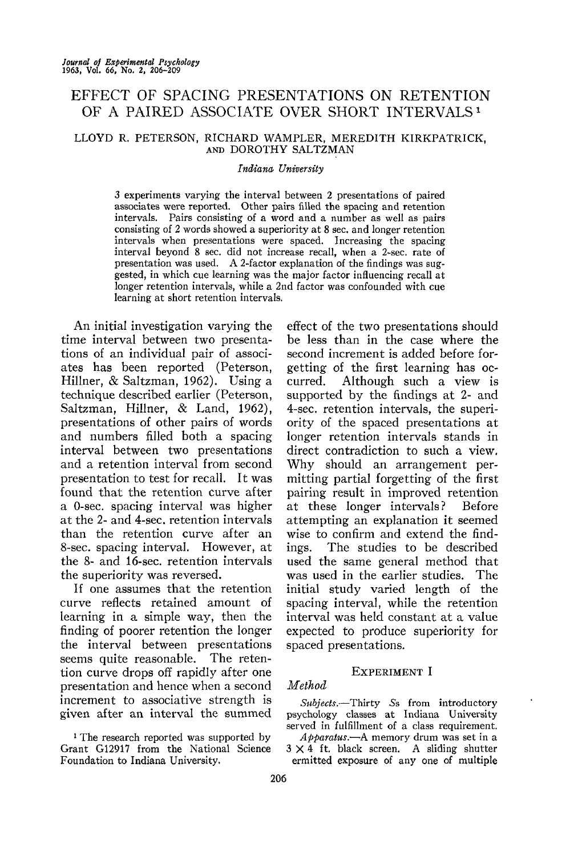## EFFECT OF SPACING PRESENTATIONS ON RETENTION OF A PAIRED ASSOCIATE OVER SHORT INTERVALS<sup>1</sup>

#### LLOYD R. PETERSON, RICHARD WAMPLER, MEREDITH KIRKPATRICK, AND DOROTHY SALTZMAN

#### *Indiana University*

3 experiments varying the interval between 2 presentations of paired associates were reported. Other pairs filled the spacing and retention intervals. Pairs consisting of a word and a number as well as pairs consisting of 2 words showed a superiority at 8 sec. and longer retention intervals when presentations were spaced. Increasing the spacing interval beyond 8 sec. did not increase recall, when a 2-sec. rate of presentation was used. A 2-factor explanation of the findings was suggested, in which cue learning was the major factor influencing recall at longer retention intervals, while a 2nd factor was confounded with cue learning at short retention intervals.

An initial investigation varying the time interval between two presentations of an individual pair of associates has been reported (Peterson, Hillner, & Saltzman, 1962). Using a technique described earlier (Peterson, Saltzman, Hillner, & Land, 1962), presentations of other pairs of words and numbers filled both a spacing interval between two presentations and a retention interval from second presentation to test for recall. It was found that the retention curve after a 0-sec. spacing interval was higher at the 2- and 4-sec. retention intervals than the retention curve after an 8-sec. spacing interval. However, at the 8- and 16-sec. retention intervals the superiority was reversed.

If one assumes that the retention curve reflects retained amount of learning in a simple way, then the finding of poorer retention the longer the interval between presentations seems quite reasonable. The retention curve drops off rapidly after one presentation and hence when a second increment to associative strength is given after an interval the summed

<sup>1</sup> The research reported was supported by Grant G12917 from the National Science Foundation to Indiana University.

effect of the two presentations should be less than in the case where the second increment is added before forgetting of the first learning has occurred. Although such a view is supported by the findings at 2- and 4-sec. retention intervals, the superiority of the spaced presentations at longer retention intervals stands in direct contradiction to such a view. Why should an arrangement permitting partial forgetting of the first pairing result in improved retention at these longer intervals? Before attempting an explanation it seemed wise to confirm and extend the findings. The studies to be described used the same general method that was used in the earlier studies. The initial study varied length of the spacing interval, while the retention interval was held constant at a value expected to produce superiority for spaced presentations.

## EXPERIMENT I

## *Method*

*Subjects.*—Thirty 5s from introductory psychology classes at Indiana University served in fulfillment of a class requirement.

*Apparatus.*—A memory drum was set in a  $3 \times 4$  ft. black screen. A sliding shutter ermitted exposure of any one of multiple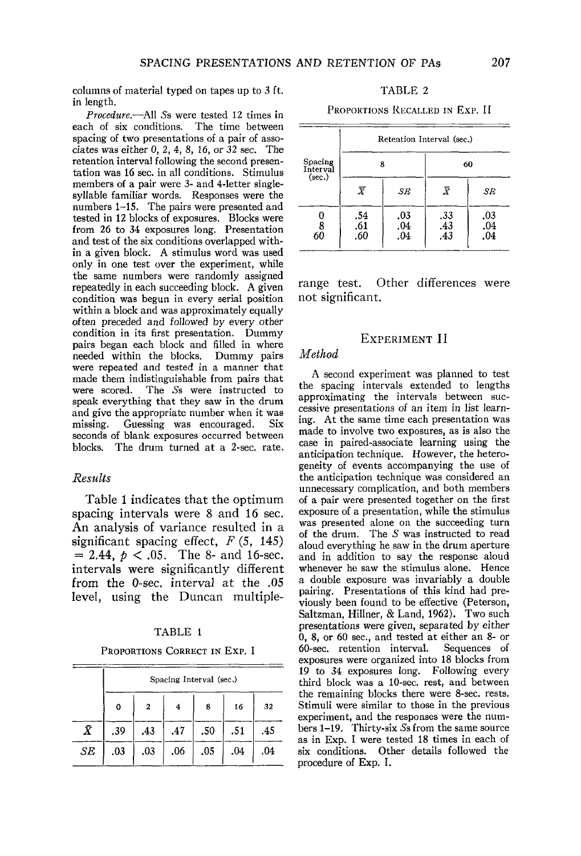columns of material typed on tapes up to 3 ft. in length.

*Procedure.*—All *Ss* were tested 12 times in each of six conditions. The time between spacing of two presentations of a pair of associates was either 0, 2, 4, 8, 16, or 32 sec. The retention interval following the second presentation was 16 sec. in all conditions. Stimulus members of a pair were 3- and 4-letter singlesyllable familiar words. Responses were the numbers 1-15. The pairs were presented and tested in 12 blocks of exposures. Blocks were from 26 to 34 exposures long. Presentation and test of the six conditions overlapped within a given block. A stimulus word was used only in one test over the experiment, while the same numbers were randomly assigned repeatedly in each succeeding block. A given condition was begun in every serial position within a block and was approximately equally often preceded and followed by every other condition in its first presentation. Dummy pairs began each block and filled in where needed within the blocks. Dummy pairs were repeated and tested in a manner that made them indistinguishable from pairs that<br>were scored. The Ss were instructed to The Ss were instructed to speak everything that they saw in the drum and give the appropriate number when it was<br>missing. Guessing was encouraged. Six Guessing was encouraged. seconds of blank exposures occurred between blocks. The drum turned at a 2-sec. rate.

#### *Results*

Table 1 indicates that the optimum spacing intervals were 8 and 16 sec. An analysis of variance resulted in a significant spacing effect, *F* (5, 145)  $= 2.44, p < .05$ . The 8- and 16-sec. intervals were significantly different from the 0-sec. interval at the .05 level, using the Duncan multiple-

#### TABLE 1

PROPORTIONS CORRECT IN Exp. I

|           | Spacing Interval (sec.) |              |     |     |     |     |
|-----------|-------------------------|--------------|-----|-----|-----|-----|
|           | 0                       | $\mathbf{z}$ | 4   | 8   | 16  | 32  |
| $\bar{X}$ | .39                     | .43          | .47 | .50 | .51 | .45 |
| SE        | .03                     | .03          | .06 | .05 | .04 | .04 |

|  | TABLE 2 |  |  |  |
|--|---------|--|--|--|
|--|---------|--|--|--|

PROPORTIONS RECALLED IN EXP. II

|                               |                        |                   | Retention Interval (sec.) |                   |  |
|-------------------------------|------------------------|-------------------|---------------------------|-------------------|--|
| Spacing<br>Interval<br>(sec.) | 8                      |                   | 60                        |                   |  |
|                               | $\boldsymbol{\bar{X}}$ | SE                | $\bar{X}$                 | SE                |  |
| 0<br>8<br>60                  | .54<br>.61<br>.60      | .03<br>.04<br>.04 | .33<br>.43<br>.43         | .03<br>.04<br>.04 |  |

range test. Other differences were not significant.

#### EXPERIMENT II

#### *Method*

A second experiment was planned to test the spacing intervals extended to lengths approximating the intervals between successive presentations of an item in list learning. At the same time each presentation was made to involve two exposures, as is also the case in paired-associate learning using the anticipation technique. However, the heterogeneity of events accompanying the use of the anticipation technique was considered an unnecessary complication, and both members of a pair were presented together on the first exposure of a presentation, while the stimulus was presented alone on the succeeding turn of the drum. The *S* was instructed to read aloud everything he saw in the drum aperture and in addition to say the response aloud whenever he saw the stimulus alone. Hence a double exposure was invariably a double pairing. Presentations of this kind had previously been found to be effective (Peterson, Saltzman, Hillner, & Land, 1962). Two such presentations were given, separated by either  $0, 8$ , or 60 sec., and tested at either an 8- or 60-sec. retention interval. Sequences of 60-sec. retention interval. exposures were organized into 18 blocks from 19 to 34 exposures long. Following every third block was a 10-sec. rest, and between the remaining blocks there were 8-sec. rests. Stimuli were similar to those in the previous experiment, and the responses were the numbers 1-19. Thirty-six 5s from the same source as in Exp. I were tested 18 times in each of six conditions. Other details followed the procedure of Exp. I.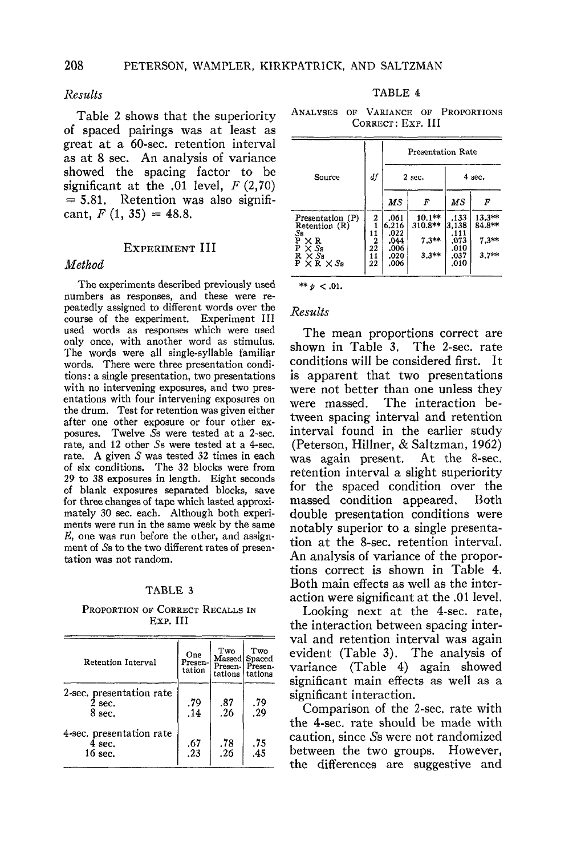#### *Results*

Table 2 shows that the superiority of spaced pairings was at least as great at a 60-sec. retention interval as at 8 sec. An analysis of variance showed the spacing factor to be significant at the .01 level,  $F(2,70)$  $= 5.81$ . Retention was also significant,  $F(1, 35) = 48.8$ .

## EXPERIMENT III

#### *Method*

The experiments described previously used numbers as responses, and these were repeatedly assigned to different words over the course of the experiment. Experiment III used words as responses which were used only once, with another word as stimulus. The words were all single-syllable familiar words. There were three presentation conditions : a single presentation, two presentations with no intervening exposures, and two presentations with four intervening exposures on the drum. Test for retention was given either after one other exposure or four other exposures. Twelve  $\tilde{S}$ s were tested at a 2-sec. rate, and 12 other 5s were tested at a 4-sec. rate. A given S was tested 32 times in each of six conditions. The 32 blocks were from 29 to 38 exposures in length. Eight seconds of blank exposures separated blocks, save for three changes of tape which lasted approximately 30 sec. each. Although both experiments were run in the same week by the same *E,* one was run before the other, and assignment of 5s to the two different rates of presentation was not random.

#### TABLE 3

#### PROPORTION OF CORRECT RECALLS IN EXP. Ill

| Retention Interval                             | One<br>Presen-<br>tation | Two<br>Presen-l<br>tations | Two<br>Massed Spaced<br>Presen-<br>tations |
|------------------------------------------------|--------------------------|----------------------------|--------------------------------------------|
| 2-sec. presentation rate<br>$2$ sec.<br>8 sec. | .79<br>.14               | .87<br>.26                 | .79<br>29.                                 |
| 4-sec. presentation rate<br>4 sec.<br>16 sec.  | .67<br>$\frac{1}{2}$     | $\frac{.78}{.26}$          | $\frac{.75}{.45}$                          |

| Ð<br>י בו |  |
|-----------|--|
|-----------|--|

ANALYSES OF VARIANCE OF PROPORTIONS CORRECT: Exp. Ill

|                                                                                       |                | <b>Presentation Rate</b>      |                               |                               |                               |
|---------------------------------------------------------------------------------------|----------------|-------------------------------|-------------------------------|-------------------------------|-------------------------------|
| Source                                                                                | df             | $2$ sec.                      |                               | 4 sec.                        |                               |
|                                                                                       |                | МS                            | F                             | МS                            | F                             |
| Presentation (P)<br>Retention (R)<br>S <sub>8</sub><br>$P \times R$<br>$P \times S_5$ | 2<br>11<br>2   | .061<br>6.216<br>.022<br>.044 | 10.1**<br>310.8**<br>$7.3***$ | .133<br>3.138<br>.111<br>.073 | $13.3**$<br>84.8**<br>$7.3**$ |
| $\times$ Sa<br>$R \times S_8$<br>$P \times R \times S_8$                              | 22<br>11<br>22 | .006<br>.020<br>.006          | $3.3**$                       | .010<br>.037<br>.010          | $3.7**$                       |

# \*\*  $p < .01$ . *Results*

## The mean proportions correct are shown in Table 3. The 2-sec. rate conditions will be considered first. It is apparent that two presentations were not better than one unless they were massed. The interaction between spacing interval and retention interval found in the earlier study (Peterson, Hillner, & Saltzman, 1962) was again present. At the 8-sec. retention interval a slight superiority for the spaced condition over the<br>massed condition appeared. Both massed condition appeared. double presentation conditions were notably superior to a single presentation at the 8-sec. retention interval. An analysis of variance of the proportions correct is shown in Table 4. Both main effects as well as the interaction were significant at the .01 level.

Looking next at the 4-sec. rate, the interaction between spacing interval and retention interval was again evident (Table 3). The analysis of variance (Table 4) again showed significant main effects as well as a significant interaction.

Comparison of the 2-sec, rate with the 4-sec. rate should be made with caution, since Ss were not randomized between the two groups. However, the differences are suggestive and